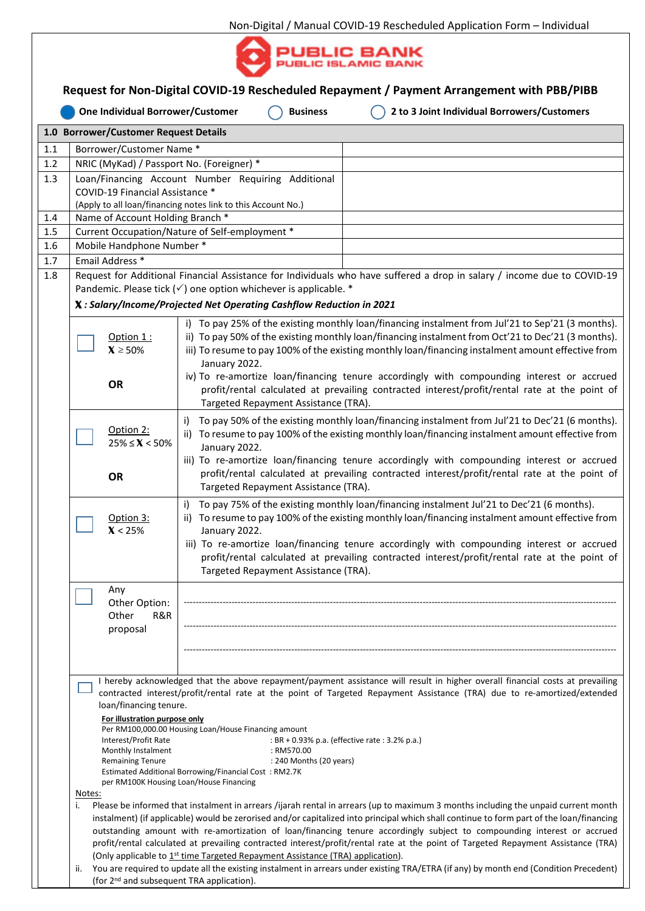

| Request for Non-Digital COVID-19 Rescheduled Repayment / Payment Arrangement with PBB/PIBB |                                                                                                                                                                                                                                                                                                                                                                                                                                                                                                                                                                                                                                                                                                                                                                                                                                                                                                                                                                                                                                                                                                                                                                                                                                                                                                         |                                                                                                                                                                                                                                                                                                                                                                                                                                                              |  |  |  |  |  |  |  |  |
|--------------------------------------------------------------------------------------------|---------------------------------------------------------------------------------------------------------------------------------------------------------------------------------------------------------------------------------------------------------------------------------------------------------------------------------------------------------------------------------------------------------------------------------------------------------------------------------------------------------------------------------------------------------------------------------------------------------------------------------------------------------------------------------------------------------------------------------------------------------------------------------------------------------------------------------------------------------------------------------------------------------------------------------------------------------------------------------------------------------------------------------------------------------------------------------------------------------------------------------------------------------------------------------------------------------------------------------------------------------------------------------------------------------|--------------------------------------------------------------------------------------------------------------------------------------------------------------------------------------------------------------------------------------------------------------------------------------------------------------------------------------------------------------------------------------------------------------------------------------------------------------|--|--|--|--|--|--|--|--|
|                                                                                            | 2 to 3 Joint Individual Borrowers/Customers<br>One Individual Borrower/Customer<br><b>Business</b>                                                                                                                                                                                                                                                                                                                                                                                                                                                                                                                                                                                                                                                                                                                                                                                                                                                                                                                                                                                                                                                                                                                                                                                                      |                                                                                                                                                                                                                                                                                                                                                                                                                                                              |  |  |  |  |  |  |  |  |
| 1.0 Borrower/Customer Request Details<br>Borrower/Customer Name*<br>1.1                    |                                                                                                                                                                                                                                                                                                                                                                                                                                                                                                                                                                                                                                                                                                                                                                                                                                                                                                                                                                                                                                                                                                                                                                                                                                                                                                         |                                                                                                                                                                                                                                                                                                                                                                                                                                                              |  |  |  |  |  |  |  |  |
| 1.2                                                                                        | NRIC (MyKad) / Passport No. (Foreigner) *                                                                                                                                                                                                                                                                                                                                                                                                                                                                                                                                                                                                                                                                                                                                                                                                                                                                                                                                                                                                                                                                                                                                                                                                                                                               |                                                                                                                                                                                                                                                                                                                                                                                                                                                              |  |  |  |  |  |  |  |  |
| 1.3                                                                                        |                                                                                                                                                                                                                                                                                                                                                                                                                                                                                                                                                                                                                                                                                                                                                                                                                                                                                                                                                                                                                                                                                                                                                                                                                                                                                                         | Loan/Financing Account Number Requiring Additional                                                                                                                                                                                                                                                                                                                                                                                                           |  |  |  |  |  |  |  |  |
|                                                                                            | COVID-19 Financial Assistance *                                                                                                                                                                                                                                                                                                                                                                                                                                                                                                                                                                                                                                                                                                                                                                                                                                                                                                                                                                                                                                                                                                                                                                                                                                                                         |                                                                                                                                                                                                                                                                                                                                                                                                                                                              |  |  |  |  |  |  |  |  |
| 1.4                                                                                        | (Apply to all loan/financing notes link to this Account No.)                                                                                                                                                                                                                                                                                                                                                                                                                                                                                                                                                                                                                                                                                                                                                                                                                                                                                                                                                                                                                                                                                                                                                                                                                                            |                                                                                                                                                                                                                                                                                                                                                                                                                                                              |  |  |  |  |  |  |  |  |
| 1.5                                                                                        |                                                                                                                                                                                                                                                                                                                                                                                                                                                                                                                                                                                                                                                                                                                                                                                                                                                                                                                                                                                                                                                                                                                                                                                                                                                                                                         | Name of Account Holding Branch *<br>Current Occupation/Nature of Self-employment *                                                                                                                                                                                                                                                                                                                                                                           |  |  |  |  |  |  |  |  |
| 1.6                                                                                        |                                                                                                                                                                                                                                                                                                                                                                                                                                                                                                                                                                                                                                                                                                                                                                                                                                                                                                                                                                                                                                                                                                                                                                                                                                                                                                         | Mobile Handphone Number *                                                                                                                                                                                                                                                                                                                                                                                                                                    |  |  |  |  |  |  |  |  |
| 1.7                                                                                        | Email Address *                                                                                                                                                                                                                                                                                                                                                                                                                                                                                                                                                                                                                                                                                                                                                                                                                                                                                                                                                                                                                                                                                                                                                                                                                                                                                         |                                                                                                                                                                                                                                                                                                                                                                                                                                                              |  |  |  |  |  |  |  |  |
| 1.8                                                                                        |                                                                                                                                                                                                                                                                                                                                                                                                                                                                                                                                                                                                                                                                                                                                                                                                                                                                                                                                                                                                                                                                                                                                                                                                                                                                                                         | Request for Additional Financial Assistance for Individuals who have suffered a drop in salary / income due to COVID-19                                                                                                                                                                                                                                                                                                                                      |  |  |  |  |  |  |  |  |
|                                                                                            | Pandemic. Please tick $(\checkmark)$ one option whichever is applicable. *                                                                                                                                                                                                                                                                                                                                                                                                                                                                                                                                                                                                                                                                                                                                                                                                                                                                                                                                                                                                                                                                                                                                                                                                                              |                                                                                                                                                                                                                                                                                                                                                                                                                                                              |  |  |  |  |  |  |  |  |
|                                                                                            | X: Salary/Income/Projected Net Operating Cashflow Reduction in 2021                                                                                                                                                                                                                                                                                                                                                                                                                                                                                                                                                                                                                                                                                                                                                                                                                                                                                                                                                                                                                                                                                                                                                                                                                                     |                                                                                                                                                                                                                                                                                                                                                                                                                                                              |  |  |  |  |  |  |  |  |
|                                                                                            | Option $1:$<br>$X \ge 50\%$                                                                                                                                                                                                                                                                                                                                                                                                                                                                                                                                                                                                                                                                                                                                                                                                                                                                                                                                                                                                                                                                                                                                                                                                                                                                             | i) To pay 25% of the existing monthly loan/financing instalment from Jul'21 to Sep'21 (3 months).<br>ii) To pay 50% of the existing monthly loan/financing instalment from Oct'21 to Dec'21 (3 months).<br>iii) To resume to pay 100% of the existing monthly loan/financing instalment amount effective from<br>January 2022.                                                                                                                               |  |  |  |  |  |  |  |  |
|                                                                                            | OR                                                                                                                                                                                                                                                                                                                                                                                                                                                                                                                                                                                                                                                                                                                                                                                                                                                                                                                                                                                                                                                                                                                                                                                                                                                                                                      | iv) To re-amortize loan/financing tenure accordingly with compounding interest or accrued<br>profit/rental calculated at prevailing contracted interest/profit/rental rate at the point of<br>Targeted Repayment Assistance (TRA).                                                                                                                                                                                                                           |  |  |  |  |  |  |  |  |
|                                                                                            | Option 2:<br>$25\% \le X < 50\%$                                                                                                                                                                                                                                                                                                                                                                                                                                                                                                                                                                                                                                                                                                                                                                                                                                                                                                                                                                                                                                                                                                                                                                                                                                                                        | To pay 50% of the existing monthly loan/financing instalment from Jul'21 to Dec'21 (6 months).<br>i)<br>ii) To resume to pay 100% of the existing monthly loan/financing instalment amount effective from<br>January 2022.<br>iii) To re-amortize loan/financing tenure accordingly with compounding interest or accrued                                                                                                                                     |  |  |  |  |  |  |  |  |
|                                                                                            | OR                                                                                                                                                                                                                                                                                                                                                                                                                                                                                                                                                                                                                                                                                                                                                                                                                                                                                                                                                                                                                                                                                                                                                                                                                                                                                                      | profit/rental calculated at prevailing contracted interest/profit/rental rate at the point of<br>Targeted Repayment Assistance (TRA).                                                                                                                                                                                                                                                                                                                        |  |  |  |  |  |  |  |  |
|                                                                                            | Option 3:<br>X < 25%                                                                                                                                                                                                                                                                                                                                                                                                                                                                                                                                                                                                                                                                                                                                                                                                                                                                                                                                                                                                                                                                                                                                                                                                                                                                                    | To pay 75% of the existing monthly loan/financing instalment Jul'21 to Dec'21 (6 months).<br>i)<br>ii) To resume to pay 100% of the existing monthly loan/financing instalment amount effective from<br>January 2022.<br>iii) To re-amortize loan/financing tenure accordingly with compounding interest or accrued<br>profit/rental calculated at prevailing contracted interest/profit/rental rate at the point of<br>Targeted Repayment Assistance (TRA). |  |  |  |  |  |  |  |  |
|                                                                                            | Any<br>Other Option:<br>Other<br>R&R<br>proposal                                                                                                                                                                                                                                                                                                                                                                                                                                                                                                                                                                                                                                                                                                                                                                                                                                                                                                                                                                                                                                                                                                                                                                                                                                                        |                                                                                                                                                                                                                                                                                                                                                                                                                                                              |  |  |  |  |  |  |  |  |
|                                                                                            | I hereby acknowledged that the above repayment/payment assistance will result in higher overall financial costs at prevailing<br>contracted interest/profit/rental rate at the point of Targeted Repayment Assistance (TRA) due to re-amortized/extended<br>loan/financing tenure.<br>For illustration purpose only<br>Per RM100,000.00 Housing Loan/House Financing amount<br>Interest/Profit Rate<br>: BR + 0.93% p.a. (effective rate : 3.2% p.a.)<br>Monthly Instalment<br>: RM570.00<br>: 240 Months (20 years)<br><b>Remaining Tenure</b><br>Estimated Additional Borrowing/Financial Cost: RM2.7K<br>per RM100K Housing Loan/House Financing<br>Notes:<br>Please be informed that instalment in arrears /ijarah rental in arrears (up to maximum 3 months including the unpaid current month<br>i.<br>instalment) (if applicable) would be zerorised and/or capitalized into principal which shall continue to form part of the loan/financing<br>outstanding amount with re-amortization of loan/financing tenure accordingly subject to compounding interest or accrued<br>profit/rental calculated at prevailing contracted interest/profit/rental rate at the point of Targeted Repayment Assistance (TRA)<br>(Only applicable to 1st time Targeted Repayment Assistance (TRA) application). |                                                                                                                                                                                                                                                                                                                                                                                                                                                              |  |  |  |  |  |  |  |  |
|                                                                                            | You are required to update all the existing instalment in arrears under existing TRA/ETRA (if any) by month end (Condition Precedent)<br>ii.<br>(for 2 <sup>nd</sup> and subsequent TRA application).                                                                                                                                                                                                                                                                                                                                                                                                                                                                                                                                                                                                                                                                                                                                                                                                                                                                                                                                                                                                                                                                                                   |                                                                                                                                                                                                                                                                                                                                                                                                                                                              |  |  |  |  |  |  |  |  |